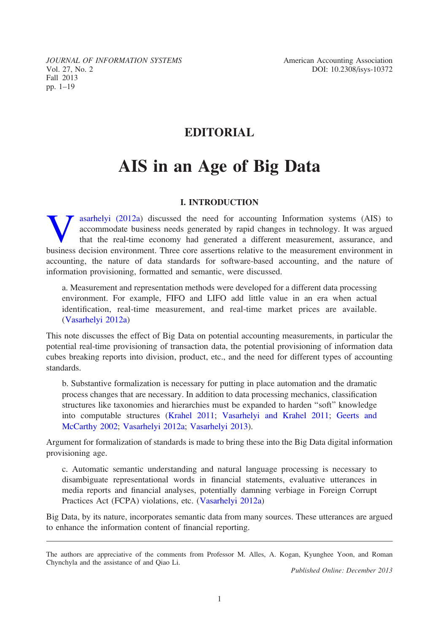# EDITORIAL

# AIS in an Age of Big Data

# I. INTRODUCTION

asarhelyi  $(2012a)$  discussed the need for accounting Information systems  $(AIS)$  to accommodate business needs generated by rapid changes in technology. It was argued that the real-time economy had generated a different measurement, assurance, and business decision environment. Three core assertions relative to the measurement environment in accounting, the nature of data standards for software-based accounting, and the nature of information provisioning, formatted and semantic, were discussed.

a. Measurement and representation methods were developed for a different data processing environment. For example, FIFO and LIFO add little value in an era when actual identification, real-time measurement, and real-time market prices are available. ([Vasarhelyi 2012a\)](#page-17-0)

This note discusses the effect of Big Data on potential accounting measurements, in particular the potential real-time provisioning of transaction data, the potential provisioning of information data cubes breaking reports into division, product, etc., and the need for different types of accounting standards.

b. Substantive formalization is necessary for putting in place automation and the dramatic process changes that are necessary. In addition to data processing mechanics, classification structures like taxonomies and hierarchies must be expanded to harden ''soft'' knowledge into computable structures [\(Krahel 2011](#page-17-0); [Vasarhelyi and Krahel 2011;](#page-18-0) [Geerts and](#page-16-0) [McCarthy 2002](#page-16-0); [Vasarhelyi 2012a](#page-17-0); [Vasarhelyi 2013](#page-17-0)).

Argument for formalization of standards is made to bring these into the Big Data digital information provisioning age.

c. Automatic semantic understanding and natural language processing is necessary to disambiguate representational words in financial statements, evaluative utterances in media reports and financial analyses, potentially damning verbiage in Foreign Corrupt Practices Act (FCPA) violations, etc. [\(Vasarhelyi 2012a\)](#page-17-0)

Big Data, by its nature, incorporates semantic data from many sources. These utterances are argued to enhance the information content of financial reporting.

The authors are appreciative of the comments from Professor M. Alles, A. Kogan, Kyunghee Yoon, and Roman Chynchyla and the assistance of and Qiao Li.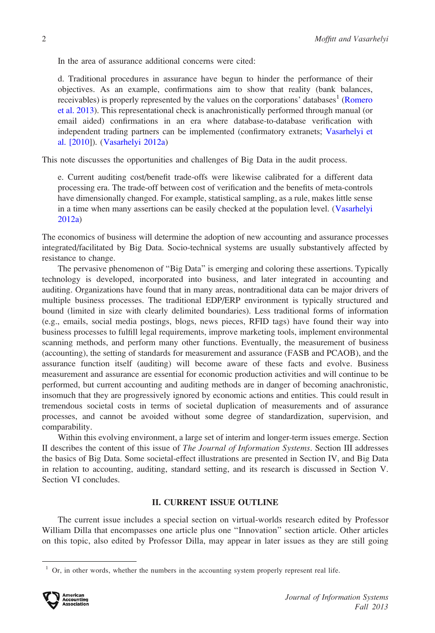In the area of assurance additional concerns were cited:

d. Traditional procedures in assurance have begun to hinder the performance of their objectives. As an example, confirmations aim to show that reality (bank balances, receivables) is properly represented by the values on the corporations' databases<sup>1</sup> [\(Romero](#page-17-0) [et al. 2013](#page-17-0)). This representational check is anachronistically performed through manual (or email aided) confirmations in an era where database-to-database verification with independent trading partners can be implemented (confirmatory extranets; [Vasarhelyi et](#page-17-0) [al. \[2010\]](#page-17-0)). [\(Vasarhelyi 2012a](#page-17-0))

This note discusses the opportunities and challenges of Big Data in the audit process.

e. Current auditing cost/benefit trade-offs were likewise calibrated for a different data processing era. The trade-off between cost of verification and the benefits of meta-controls have dimensionally changed. For example, statistical sampling, as a rule, makes little sense in a time when many assertions can be easily checked at the population level. [\(Vasarhelyi](#page-17-0) [2012a](#page-17-0))

The economics of business will determine the adoption of new accounting and assurance processes integrated/facilitated by Big Data. Socio-technical systems are usually substantively affected by resistance to change.

The pervasive phenomenon of ''Big Data'' is emerging and coloring these assertions. Typically technology is developed, incorporated into business, and later integrated in accounting and auditing. Organizations have found that in many areas, nontraditional data can be major drivers of multiple business processes. The traditional EDP/ERP environment is typically structured and bound (limited in size with clearly delimited boundaries). Less traditional forms of information (e.g., emails, social media postings, blogs, news pieces, RFID tags) have found their way into business processes to fulfill legal requirements, improve marketing tools, implement environmental scanning methods, and perform many other functions. Eventually, the measurement of business (accounting), the setting of standards for measurement and assurance (FASB and PCAOB), and the assurance function itself (auditing) will become aware of these facts and evolve. Business measurement and assurance are essential for economic production activities and will continue to be performed, but current accounting and auditing methods are in danger of becoming anachronistic, insomuch that they are progressively ignored by economic actions and entities. This could result in tremendous societal costs in terms of societal duplication of measurements and of assurance processes, and cannot be avoided without some degree of standardization, supervision, and comparability.

Within this evolving environment, a large set of interim and longer-term issues emerge. Section II describes the content of this issue of The Journal of Information Systems. Section III addresses the basics of Big Data. Some societal-effect illustrations are presented in Section IV, and Big Data in relation to accounting, auditing, standard setting, and its research is discussed in Section V. Section VI concludes.

#### II. CURRENT ISSUE OUTLINE

The current issue includes a special section on virtual-worlds research edited by Professor William Dilla that encompasses one article plus one ''Innovation'' section article. Other articles on this topic, also edited by Professor Dilla, may appear in later issues as they are still going

 $1$  Or, in other words, whether the numbers in the accounting system properly represent real life.

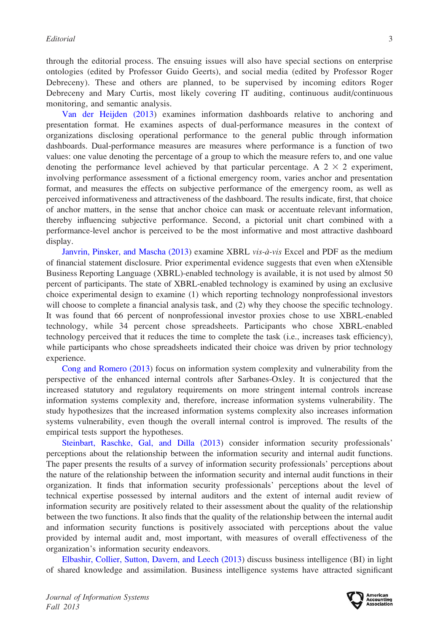through the editorial process. The ensuing issues will also have special sections on enterprise ontologies (edited by Professor Guido Geerts), and social media (edited by Professor Roger Debreceny). These and others are planned, to be supervised by incoming editors Roger Debreceny and Mary Curtis, most likely covering IT auditing, continuous audit/continuous monitoring, and semantic analysis.

[Van der Heijden \(2013](#page-17-0)) examines information dashboards relative to anchoring and presentation format. He examines aspects of dual-performance measures in the context of organizations disclosing operational performance to the general public through information dashboards. Dual-performance measures are measures where performance is a function of two values: one value denoting the percentage of a group to which the measure refers to, and one value denoting the performance level achieved by that particular percentage. A  $2 \times 2$  experiment, involving performance assessment of a fictional emergency room, varies anchor and presentation format, and measures the effects on subjective performance of the emergency room, as well as perceived informativeness and attractiveness of the dashboard. The results indicate, first, that choice of anchor matters, in the sense that anchor choice can mask or accentuate relevant information, thereby influencing subjective performance. Second, a pictorial unit chart combined with a performance-level anchor is perceived to be the most informative and most attractive dashboard display.

[Janvrin, Pinsker, and Mascha \(2013](#page-17-0)) examine XBRL vis-à-vis Excel and PDF as the medium of financial statement disclosure. Prior experimental evidence suggests that even when eXtensible Business Reporting Language (XBRL)-enabled technology is available, it is not used by almost 50 percent of participants. The state of XBRL-enabled technology is examined by using an exclusive choice experimental design to examine (1) which reporting technology nonprofessional investors will choose to complete a financial analysis task, and (2) why they choose the specific technology. It was found that 66 percent of nonprofessional investor proxies chose to use XBRL-enabled technology, while 34 percent chose spreadsheets. Participants who chose XBRL-enabled technology perceived that it reduces the time to complete the task (i.e., increases task efficiency), while participants who chose spreadsheets indicated their choice was driven by prior technology experience.

[Cong and Romero \(2013\)](#page-16-0) focus on information system complexity and vulnerability from the perspective of the enhanced internal controls after Sarbanes-Oxley. It is conjectured that the increased statutory and regulatory requirements on more stringent internal controls increase information systems complexity and, therefore, increase information systems vulnerability. The study hypothesizes that the increased information systems complexity also increases information systems vulnerability, even though the overall internal control is improved. The results of the empirical tests support the hypotheses.

[Steinbart, Raschke, Gal, and Dilla \(2013](#page-17-0)) consider information security professionals' perceptions about the relationship between the information security and internal audit functions. The paper presents the results of a survey of information security professionals' perceptions about the nature of the relationship between the information security and internal audit functions in their organization. It finds that information security professionals' perceptions about the level of technical expertise possessed by internal auditors and the extent of internal audit review of information security are positively related to their assessment about the quality of the relationship between the two functions. It also finds that the quality of the relationship between the internal audit and information security functions is positively associated with perceptions about the value provided by internal audit and, most important, with measures of overall effectiveness of the organization's information security endeavors.

Elbashir, Collier, Sutton, Davern, and Leech (2013) discuss business intelligence (BI) in light of shared knowledge and assimilation. Business intelligence systems have attracted significant

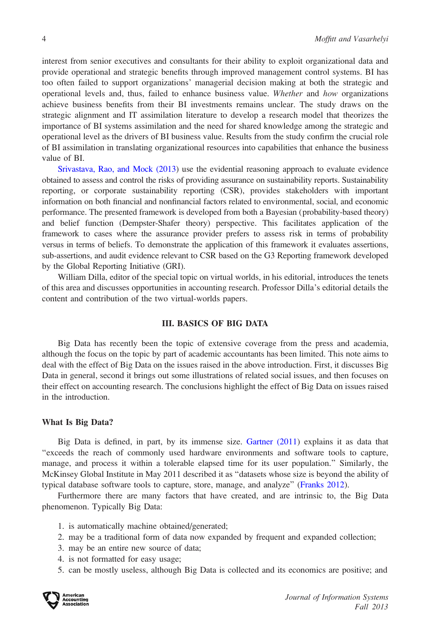interest from senior executives and consultants for their ability to exploit organizational data and provide operational and strategic benefits through improved management control systems. BI has too often failed to support organizations' managerial decision making at both the strategic and operational levels and, thus, failed to enhance business value. Whether and how organizations achieve business benefits from their BI investments remains unclear. The study draws on the strategic alignment and IT assimilation literature to develop a research model that theorizes the importance of BI systems assimilation and the need for shared knowledge among the strategic and operational level as the drivers of BI business value. Results from the study confirm the crucial role of BI assimilation in translating organizational resources into capabilities that enhance the business value of BI.

[Srivastava, Rao, and Mock \(2013](#page-17-0)) use the evidential reasoning approach to evaluate evidence obtained to assess and control the risks of providing assurance on sustainability reports. Sustainability reporting, or corporate sustainability reporting (CSR), provides stakeholders with important information on both financial and nonfinancial factors related to environmental, social, and economic performance. The presented framework is developed from both a Bayesian (probability-based theory) and belief function (Dempster-Shafer theory) perspective. This facilitates application of the framework to cases where the assurance provider prefers to assess risk in terms of probability versus in terms of beliefs. To demonstrate the application of this framework it evaluates assertions, sub-assertions, and audit evidence relevant to CSR based on the G3 Reporting framework developed by the Global Reporting Initiative (GRI).

William Dilla, editor of the special topic on virtual worlds, in his editorial, introduces the tenets of this area and discusses opportunities in accounting research. Professor Dilla's editorial details the content and contribution of the two virtual-worlds papers.

# III. BASICS OF BIG DATA

Big Data has recently been the topic of extensive coverage from the press and academia, although the focus on the topic by part of academic accountants has been limited. This note aims to deal with the effect of Big Data on the issues raised in the above introduction. First, it discusses Big Data in general, second it brings out some illustrations of related social issues, and then focuses on their effect on accounting research. The conclusions highlight the effect of Big Data on issues raised in the introduction.

#### What Is Big Data?

Big Data is defined, in part, by its immense size. [Gartner \(2011\)](#page-16-0) explains it as data that ''exceeds the reach of commonly used hardware environments and software tools to capture, manage, and process it within a tolerable elapsed time for its user population.'' Similarly, the McKinsey Global Institute in May 2011 described it as ''datasets whose size is beyond the ability of typical database software tools to capture, store, manage, and analyze'' ([Franks 2012](#page-16-0)).

Furthermore there are many factors that have created, and are intrinsic to, the Big Data phenomenon. Typically Big Data:

- 1. is automatically machine obtained/generated;
- 2. may be a traditional form of data now expanded by frequent and expanded collection;
- 3. may be an entire new source of data;
- 4. is not formatted for easy usage;
- 5. can be mostly useless, although Big Data is collected and its economics are positive; and

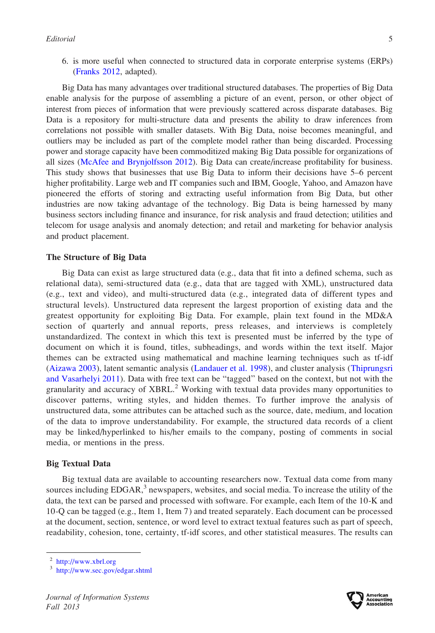Big Data has many advantages over traditional structured databases. The properties of Big Data enable analysis for the purpose of assembling a picture of an event, person, or other object of interest from pieces of information that were previously scattered across disparate databases. Big Data is a repository for multi-structure data and presents the ability to draw inferences from correlations not possible with smaller datasets. With Big Data, noise becomes meaningful, and outliers may be included as part of the complete model rather than being discarded. Processing power and storage capacity have been commoditized making Big Data possible for organizations of all sizes [\(McAfee and Brynjolfsson 2012](#page-17-0)). Big Data can create/increase profitability for business. This study shows that businesses that use Big Data to inform their decisions have 5–6 percent higher profitability. Large web and IT companies such and IBM, Google, Yahoo, and Amazon have pioneered the efforts of storing and extracting useful information from Big Data, but other industries are now taking advantage of the technology. Big Data is being harnessed by many business sectors including finance and insurance, for risk analysis and fraud detection; utilities and telecom for usage analysis and anomaly detection; and retail and marketing for behavior analysis and product placement.

## The Structure of Big Data

Big Data can exist as large structured data (e.g., data that fit into a defined schema, such as relational data), semi-structured data (e.g., data that are tagged with XML), unstructured data (e.g., text and video), and multi-structured data (e.g., integrated data of different types and structural levels). Unstructured data represent the largest proportion of existing data and the greatest opportunity for exploiting Big Data. For example, plain text found in the MD&A section of quarterly and annual reports, press releases, and interviews is completely unstandardized. The context in which this text is presented must be inferred by the type of document on which it is found, titles, subheadings, and words within the text itself. Major themes can be extracted using mathematical and machine learning techniques such as tf-idf ([Aizawa 2003\)](#page-16-0), latent semantic analysis ([Landauer et al. 1998\)](#page-17-0), and cluster analysis ([Thiprungsri](#page-17-0) [and Vasarhelyi 2011\)](#page-17-0). Data with free text can be ''tagged'' based on the context, but not with the granularity and accuracy of  $XBRL<sup>2</sup>$  Working with textual data provides many opportunities to discover patterns, writing styles, and hidden themes. To further improve the analysis of unstructured data, some attributes can be attached such as the source, date, medium, and location of the data to improve understandability. For example, the structured data records of a client may be linked/hyperlinked to his/her emails to the company, posting of comments in social media, or mentions in the press.

# Big Textual Data

Big textual data are available to accounting researchers now. Textual data come from many sources including  $EDGAR$ ,<sup>3</sup> newspapers, websites, and social media. To increase the utility of the data, the text can be parsed and processed with software. For example, each Item of the 10-K and 10-Q can be tagged (e.g., Item 1, Item 7) and treated separately. Each document can be processed at the document, section, sentence, or word level to extract textual features such as part of speech, readability, cohesion, tone, certainty, tf-idf scores, and other statistical measures. The results can



 $\frac{2}{3}$  <http://www.xbrl.org><br> $\frac{3}{3}$  <http://www.sec.gov/edgar.shtml>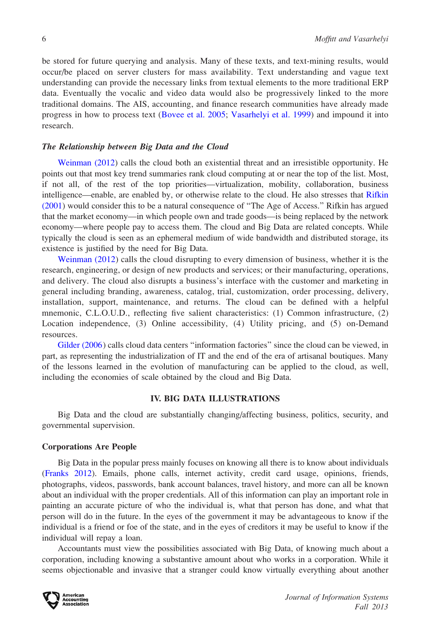be stored for future querying and analysis. Many of these texts, and text-mining results, would occur/be placed on server clusters for mass availability. Text understanding and vague text understanding can provide the necessary links from textual elements to the more traditional ERP data. Eventually the vocalic and video data would also be progressively linked to the more traditional domains. The AIS, accounting, and finance research communities have already made progress in how to process text ([Bovee et al. 2005](#page-16-0); [Vasarhelyi et al. 1999](#page-18-0)) and impound it into research.

#### The Relationship between Big Data and the Cloud

[Weinman \(2012\)](#page-18-0) calls the cloud both an existential threat and an irresistible opportunity. He points out that most key trend summaries rank cloud computing at or near the top of the list. Most, if not all, of the rest of the top priorities—virtualization, mobility, collaboration, business intelligence—enable, are enabled by, or otherwise relate to the cloud. He also stresses that [Rifkin](#page-17-0) [\(2001](#page-17-0)) would consider this to be a natural consequence of ''The Age of Access.'' Rifkin has argued that the market economy—in which people own and trade goods—is being replaced by the network economy—where people pay to access them. The cloud and Big Data are related concepts. While typically the cloud is seen as an ephemeral medium of wide bandwidth and distributed storage, its existence is justified by the need for Big Data.

[Weinman \(2012\)](#page-18-0) calls the cloud disrupting to every dimension of business, whether it is the research, engineering, or design of new products and services; or their manufacturing, operations, and delivery. The cloud also disrupts a business's interface with the customer and marketing in general including branding, awareness, catalog, trial, customization, order processing, delivery, installation, support, maintenance, and returns. The cloud can be defined with a helpful mnemonic, C.L.O.U.D., reflecting five salient characteristics: (1) Common infrastructure, (2) Location independence, (3) Online accessibility, (4) Utility pricing, and (5) on-Demand resources.

[Gilder \(2006](#page-16-0)) calls cloud data centers "information factories" since the cloud can be viewed, in part, as representing the industrialization of IT and the end of the era of artisanal boutiques. Many of the lessons learned in the evolution of manufacturing can be applied to the cloud, as well, including the economies of scale obtained by the cloud and Big Data.

#### IV. BIG DATA ILLUSTRATIONS

Big Data and the cloud are substantially changing/affecting business, politics, security, and governmental supervision.

#### Corporations Are People

Big Data in the popular press mainly focuses on knowing all there is to know about individuals [\(Franks 2012\)](#page-16-0). Emails, phone calls, internet activity, credit card usage, opinions, friends, photographs, videos, passwords, bank account balances, travel history, and more can all be known about an individual with the proper credentials. All of this information can play an important role in painting an accurate picture of who the individual is, what that person has done, and what that person will do in the future. In the eyes of the government it may be advantageous to know if the individual is a friend or foe of the state, and in the eyes of creditors it may be useful to know if the individual will repay a loan.

Accountants must view the possibilities associated with Big Data, of knowing much about a corporation, including knowing a substantive amount about who works in a corporation. While it seems objectionable and invasive that a stranger could know virtually everything about another

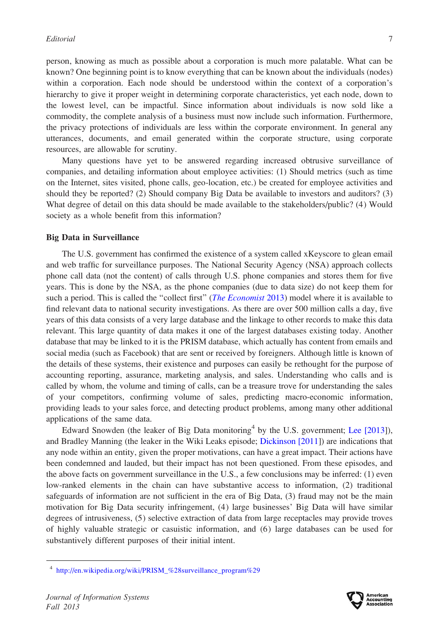person, knowing as much as possible about a corporation is much more palatable. What can be known? One beginning point is to know everything that can be known about the individuals (nodes) within a corporation. Each node should be understood within the context of a corporation's hierarchy to give it proper weight in determining corporate characteristics, yet each node, down to the lowest level, can be impactful. Since information about individuals is now sold like a commodity, the complete analysis of a business must now include such information. Furthermore, the privacy protections of individuals are less within the corporate environment. In general any utterances, documents, and email generated within the corporate structure, using corporate resources, are allowable for scrutiny.

Many questions have yet to be answered regarding increased obtrusive surveillance of companies, and detailing information about employee activities: (1) Should metrics (such as time on the Internet, sites visited, phone calls, geo-location, etc.) be created for employee activities and should they be reported? (2) Should company Big Data be available to investors and auditors? (3) What degree of detail on this data should be made available to the stakeholders/public? (4) Would society as a whole benefit from this information?

#### Big Data in Surveillance

The U.S. government has confirmed the existence of a system called xKeyscore to glean email and web traffic for surveillance purposes. The National Security Agency (NSA) approach collects phone call data (not the content) of calls through U.S. phone companies and stores them for five years. This is done by the NSA, as the phone companies (due to data size) do not keep them for such a period. This is called the "collect first" (*[The Economist](#page-16-0)* 2013) model where it is available to find relevant data to national security investigations. As there are over 500 million calls a day, five years of this data consists of a very large database and the linkage to other records to make this data relevant. This large quantity of data makes it one of the largest databases existing today. Another database that may be linked to it is the PRISM database, which actually has content from emails and social media (such as Facebook) that are sent or received by foreigners. Although little is known of the details of these systems, their existence and purposes can easily be rethought for the purpose of accounting reporting, assurance, marketing analysis, and sales. Understanding who calls and is called by whom, the volume and timing of calls, can be a treasure trove for understanding the sales of your competitors, confirming volume of sales, predicting macro-economic information, providing leads to your sales force, and detecting product problems, among many other additional applications of the same data.

Edward Snowden (the leaker of Big Data monitoring<sup>4</sup> by the U.S. government; [Lee \[2013](#page-17-0)]), and Bradley Manning (the leaker in the Wiki Leaks episode; [Dickinson \[2011\]](#page-16-0)) are indications that any node within an entity, given the proper motivations, can have a great impact. Their actions have been condemned and lauded, but their impact has not been questioned. From these episodes, and the above facts on government surveillance in the U.S., a few conclusions may be inferred: (1) even low-ranked elements in the chain can have substantive access to information, (2) traditional safeguards of information are not sufficient in the era of Big Data, (3) fraud may not be the main motivation for Big Data security infringement, (4) large businesses' Big Data will have similar degrees of intrusiveness, (5) selective extraction of data from large receptacles may provide troves of highly valuable strategic or casuistic information, and (6) large databases can be used for substantively different purposes of their initial intent.



<sup>4</sup> [http://en.wikipedia.org/wiki/PRISM\\_%28surveillance\\_program](http://en.wikipedia.org/wiki/PRISM_%28surveillance_program%29)%[29](http://en.wikipedia.org/wiki/PRISM_%28surveillance_program%29)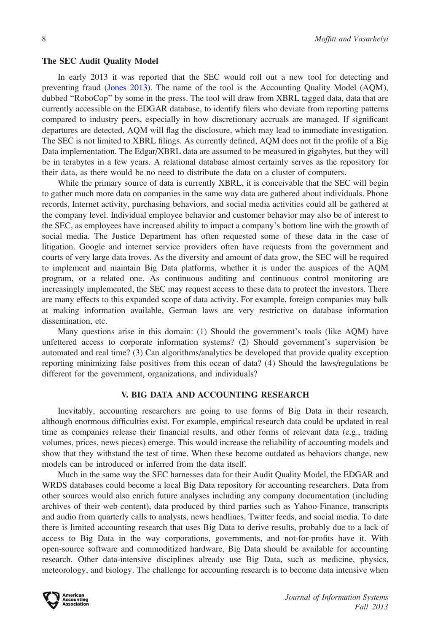#### The SEC Audit Quality Model

In early 2013 it was reported that the SEC would roll out a new tool for detecting and preventing fraud [\(Jones 2013\)](#page-17-0). The name of the tool is the Accounting Quality Model (AQM), dubbed ''RoboCop'' by some in the press. The tool will draw from XBRL tagged data, data that are currently accessible on the EDGAR database, to identify filers who deviate from reporting patterns compared to industry peers, especially in how discretionary accruals are managed. If significant departures are detected, AQM will flag the disclosure, which may lead to immediate investigation. The SEC is not limited to XBRL filings. As currently defined, AQM does not fit the profile of a Big Data implementation. The Edgar/XBRL data are assumed to be measured in gigabytes, but they will be in terabytes in a few years. A relational database almost certainly serves as the repository for their data, as there would be no need to distribute the data on a cluster of computers.

While the primary source of data is currently XBRL, it is conceivable that the SEC will begin to gather much more data on companies in the same way data are gathered about individuals. Phone records, Internet activity, purchasing behaviors, and social media activities could all be gathered at the company level. Individual employee behavior and customer behavior may also be of interest to the SEC, as employees have increased ability to impact a company's bottom line with the growth of social media. The Justice Department has often requested some of these data in the case of litigation. Google and internet service providers often have requests from the government and courts of very large data troves. As the diversity and amount of data grow, the SEC will be required to implement and maintain Big Data platforms, whether it is under the auspices of the AQM program, or a related one. As continuous auditing and continuous control monitoring are increasingly implemented, the SEC may request access to these data to protect the investors. There are many effects to this expanded scope of data activity. For example, foreign companies may balk at making information available, German laws are very restrictive on database information dissemination, etc.

Many questions arise in this domain: (1) Should the government's tools (like AQM) have unfettered access to corporate information systems? (2) Should government's supervision be automated and real time? (3) Can algorithms/analytics be developed that provide quality exception reporting minimizing false positives from this ocean of data? (4) Should the laws/regulations be different for the government, organizations, and individuals?

#### V. BIG DATA AND ACCOUNTING RESEARCH

Inevitably, accounting researchers are going to use forms of Big Data in their research, although enormous difficulties exist. For example, empirical research data could be updated in real time as companies release their financial results, and other forms of relevant data (e.g., trading volumes, prices, news pieces) emerge. This would increase the reliability of accounting models and show that they withstand the test of time. When these become outdated as behaviors change, new models can be introduced or inferred from the data itself.

Much in the same way the SEC harnesses data for their Audit Quality Model, the EDGAR and WRDS databases could become a local Big Data repository for accounting researchers. Data from other sources would also enrich future analyses including any company documentation (including archives of their web content), data produced by third parties such as Yahoo-Finance, transcripts and audio from quarterly calls to analysts, news headlines, Twitter feeds, and social media. To date there is limited accounting research that uses Big Data to derive results, probably due to a lack of access to Big Data in the way corporations, governments, and not-for-profits have it. With open-source software and commoditized hardware, Big Data should be available for accounting research. Other data-intensive disciplines already use Big Data, such as medicine, physics, meteorology, and biology. The challenge for accounting research is to become data intensive when

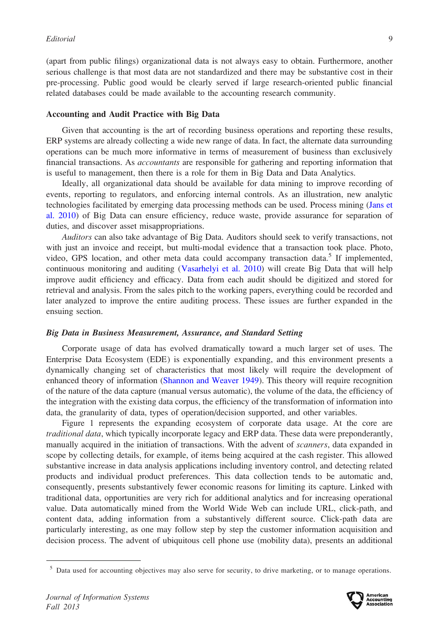(apart from public filings) organizational data is not always easy to obtain. Furthermore, another serious challenge is that most data are not standardized and there may be substantive cost in their pre-processing. Public good would be clearly served if large research-oriented public financial related databases could be made available to the accounting research community.

#### Accounting and Audit Practice with Big Data

Given that accounting is the art of recording business operations and reporting these results, ERP systems are already collecting a wide new range of data. In fact, the alternate data surrounding operations can be much more informative in terms of measurement of business than exclusively financial transactions. As accountants are responsible for gathering and reporting information that is useful to management, then there is a role for them in Big Data and Data Analytics.

Ideally, all organizational data should be available for data mining to improve recording of events, reporting to regulators, and enforcing internal controls. As an illustration, new analytic technologies facilitated by emerging data processing methods can be used. Process mining [\(Jans et](#page-17-0) [al. 2010](#page-17-0)) of Big Data can ensure efficiency, reduce waste, provide assurance for separation of duties, and discover asset misappropriations.

Auditors can also take advantage of Big Data. Auditors should seek to verify transactions, not with just an invoice and receipt, but multi-modal evidence that a transaction took place. Photo, video, GPS location, and other meta data could accompany transaction data.<sup>5</sup> If implemented, continuous monitoring and auditing ([Vasarhelyi et al. 2010\)](#page-17-0) will create Big Data that will help improve audit efficiency and efficacy. Data from each audit should be digitized and stored for retrieval and analysis. From the sales pitch to the working papers, everything could be recorded and later analyzed to improve the entire auditing process. These issues are further expanded in the ensuing section.

#### Big Data in Business Measurement, Assurance, and Standard Setting

Corporate usage of data has evolved dramatically toward a much larger set of uses. The Enterprise Data Ecosystem (EDE) is exponentially expanding, and this environment presents a dynamically changing set of characteristics that most likely will require the development of enhanced theory of information ([Shannon and Weaver 1949\)](#page-17-0). This theory will require recognition of the nature of the data capture (manual versus automatic), the volume of the data, the efficiency of the integration with the existing data corpus, the efficiency of the transformation of information into data, the granularity of data, types of operation/decision supported, and other variables.

Figure 1 represents the expanding ecosystem of corporate data usage. At the core are traditional data, which typically incorporate legacy and ERP data. These data were preponderantly, manually acquired in the initiation of transactions. With the advent of *scanners*, data expanded in scope by collecting details, for example, of items being acquired at the cash register. This allowed substantive increase in data analysis applications including inventory control, and detecting related products and individual product preferences. This data collection tends to be automatic and, consequently, presents substantively fewer economic reasons for limiting its capture. Linked with traditional data, opportunities are very rich for additional analytics and for increasing operational value. Data automatically mined from the World Wide Web can include URL, click-path, and content data, adding information from a substantively different source. Click-path data are particularly interesting, as one may follow step by step the customer information acquisition and decision process. The advent of ubiquitous cell phone use (mobility data), presents an additional

Fall 2013



<sup>5</sup> Data used for accounting objectives may also serve for security, to drive marketing, or to manage operations.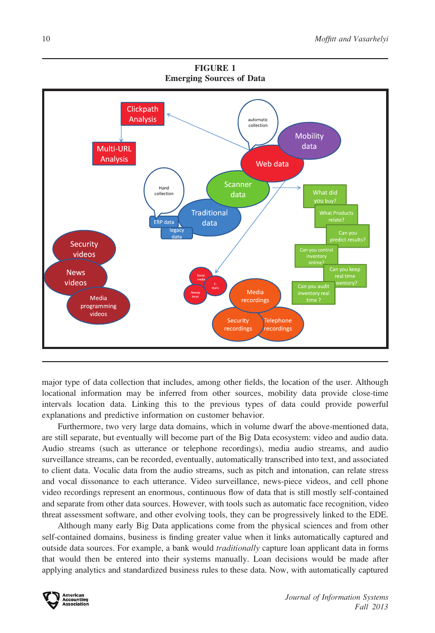

FIGURE 1

major type of data collection that includes, among other fields, the location of the user. Although locational information may be inferred from other sources, mobility data provide close-time intervals location data. Linking this to the previous types of data could provide powerful explanations and predictive information on customer behavior.

Furthermore, two very large data domains, which in volume dwarf the above-mentioned data, are still separate, but eventually will become part of the Big Data ecosystem: video and audio data. Audio streams (such as utterance or telephone recordings), media audio streams, and audio surveillance streams, can be recorded, eventually, automatically transcribed into text, and associated to client data. Vocalic data from the audio streams, such as pitch and intonation, can relate stress and vocal dissonance to each utterance. Video surveillance, news-piece videos, and cell phone video recordings represent an enormous, continuous flow of data that is still mostly self-contained and separate from other data sources. However, with tools such as automatic face recognition, video threat assessment software, and other evolving tools, they can be progressively linked to the EDE.

Although many early Big Data applications come from the physical sciences and from other self-contained domains, business is finding greater value when it links automatically captured and outside data sources. For example, a bank would *traditionally* capture loan applicant data in forms that would then be entered into their systems manually. Loan decisions would be made after applying analytics and standardized business rules to these data. Now, with automatically captured

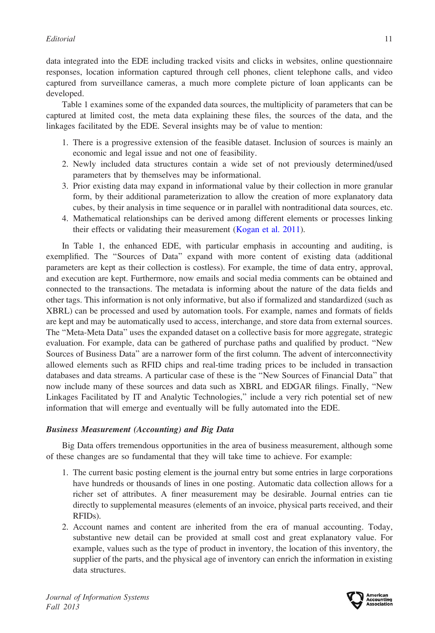data integrated into the EDE including tracked visits and clicks in websites, online questionnaire responses, location information captured through cell phones, client telephone calls, and video captured from surveillance cameras, a much more complete picture of loan applicants can be developed.

Table 1 examines some of the expanded data sources, the multiplicity of parameters that can be captured at limited cost, the meta data explaining these files, the sources of the data, and the linkages facilitated by the EDE. Several insights may be of value to mention:

- 1. There is a progressive extension of the feasible dataset. Inclusion of sources is mainly an economic and legal issue and not one of feasibility.
- 2. Newly included data structures contain a wide set of not previously determined/used parameters that by themselves may be informational.
- 3. Prior existing data may expand in informational value by their collection in more granular form, by their additional parameterization to allow the creation of more explanatory data cubes, by their analysis in time sequence or in parallel with nontraditional data sources, etc.
- 4. Mathematical relationships can be derived among different elements or processes linking their effects or validating their measurement ([Kogan et al. 2011](#page-17-0)).

In Table 1, the enhanced EDE, with particular emphasis in accounting and auditing, is exemplified. The ''Sources of Data'' expand with more content of existing data (additional parameters are kept as their collection is costless). For example, the time of data entry, approval, and execution are kept. Furthermore, now emails and social media comments can be obtained and connected to the transactions. The metadata is informing about the nature of the data fields and other tags. This information is not only informative, but also if formalized and standardized (such as XBRL) can be processed and used by automation tools. For example, names and formats of fields are kept and may be automatically used to access, interchange, and store data from external sources. The ''Meta-Meta Data'' uses the expanded dataset on a collective basis for more aggregate, strategic evaluation. For example, data can be gathered of purchase paths and qualified by product. ''New Sources of Business Data'' are a narrower form of the first column. The advent of interconnectivity allowed elements such as RFID chips and real-time trading prices to be included in transaction databases and data streams. A particular case of these is the ''New Sources of Financial Data'' that now include many of these sources and data such as XBRL and EDGAR filings. Finally, ''New Linkages Facilitated by IT and Analytic Technologies,'' include a very rich potential set of new information that will emerge and eventually will be fully automated into the EDE.

# Business Measurement (Accounting) and Big Data

Big Data offers tremendous opportunities in the area of business measurement, although some of these changes are so fundamental that they will take time to achieve. For example:

- 1. The current basic posting element is the journal entry but some entries in large corporations have hundreds or thousands of lines in one posting. Automatic data collection allows for a richer set of attributes. A finer measurement may be desirable. Journal entries can tie directly to supplemental measures (elements of an invoice, physical parts received, and their RFIDs).
- 2. Account names and content are inherited from the era of manual accounting. Today, substantive new detail can be provided at small cost and great explanatory value. For example, values such as the type of product in inventory, the location of this inventory, the supplier of the parts, and the physical age of inventory can enrich the information in existing data structures.

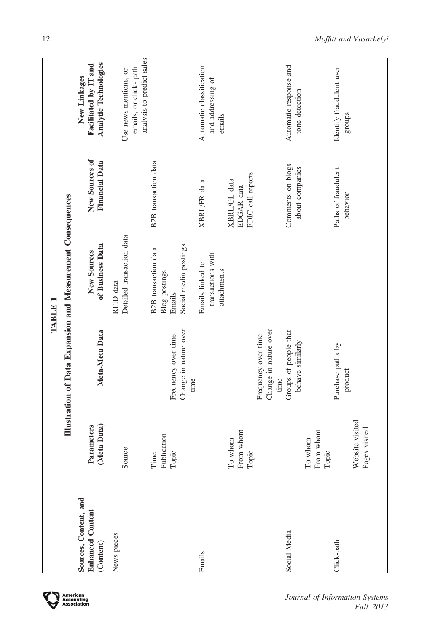|                                                               |                                  |                                                             | TABLE 1                                                                         |                                                 |                                                                             |
|---------------------------------------------------------------|----------------------------------|-------------------------------------------------------------|---------------------------------------------------------------------------------|-------------------------------------------------|-----------------------------------------------------------------------------|
|                                                               |                                  | Illustration of Data Expansion and Measurement Consequences |                                                                                 |                                                 |                                                                             |
| Sources, Content, and<br><b>Enhanced Content</b><br>(Content) | (Meta Data)<br>Parameters        | Meta-Meta Data                                              | of Business Data<br>New Sources                                                 | New Sources of<br>Financial Data                | <b>Analytic Technologies</b><br>Facilitated by IT and<br>New Linkages       |
| News pieces                                                   | Source                           |                                                             | Detailed transaction data<br>RFID data                                          |                                                 | analysis to predict sales<br>emails, or click-path<br>Use news mentions, or |
|                                                               | Publication<br>Time<br>Topic     | Change in nature over<br>Frequency over time<br>time        | Social media postings<br>B2B transaction data<br><b>Blog</b> postings<br>Emails | B2B transaction data                            |                                                                             |
| Emails                                                        |                                  |                                                             | transactions with<br>Emails linked to<br>attachments                            | XBRL/FR data                                    | Automatic classification<br>and addressing of<br>emails                     |
|                                                               | From whom<br>To whom<br>Topic    |                                                             |                                                                                 | FDIC call reports<br>XBRL/GL data<br>EDGAR data |                                                                             |
|                                                               |                                  | Change in nature over<br>Frequency over time<br>time        |                                                                                 |                                                 |                                                                             |
| Social Media                                                  |                                  | Groups of people that<br>behave similarly                   |                                                                                 | Comments on blogs<br>about companies            | Automatic response and<br>tone detection                                    |
|                                                               | From whom<br>To whom<br>Topic    |                                                             |                                                                                 |                                                 |                                                                             |
| Click-path                                                    |                                  | Purchase paths by<br>product                                |                                                                                 | Paths of fraudulent<br>behavior                 | Identify fraudulent user<br>groups                                          |
|                                                               | Website visited<br>Pages visited |                                                             |                                                                                 |                                                 |                                                                             |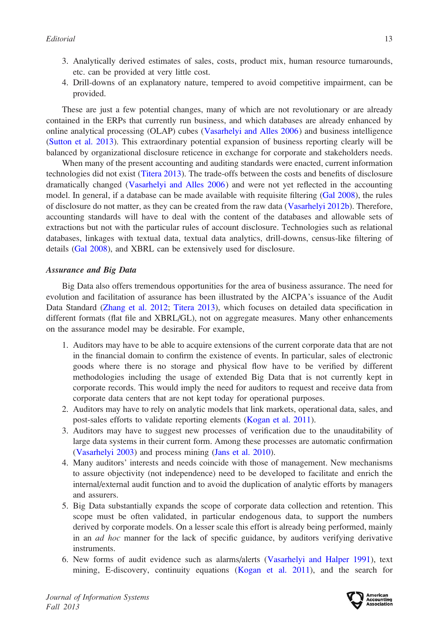- 3. Analytically derived estimates of sales, costs, product mix, human resource turnarounds, etc. can be provided at very little cost.
- 4. Drill-downs of an explanatory nature, tempered to avoid competitive impairment, can be provided.

These are just a few potential changes, many of which are not revolutionary or are already contained in the ERPs that currently run business, and which databases are already enhanced by online analytical processing (OLAP) cubes ([Vasarhelyi and Alles 2006](#page-18-0)) and business intelligence ([Sutton et al. 2013](#page-17-0)). This extraordinary potential expansion of business reporting clearly will be balanced by organizational disclosure reticence in exchange for corporate and stakeholders needs.

When many of the present accounting and auditing standards were enacted, current information technologies did not exist [\(Titera 2013\)](#page-17-0). The trade-offs between the costs and benefits of disclosure dramatically changed [\(Vasarhelyi and Alles 2006](#page-18-0)) and were not yet reflected in the accounting model. In general, if a database can be made available with requisite filtering [\(Gal 2008\)](#page-16-0), the rules of disclosure do not matter, as they can be created from the raw data [\(Vasarhelyi 2012b\)](#page-17-0). Therefore, accounting standards will have to deal with the content of the databases and allowable sets of extractions but not with the particular rules of account disclosure. Technologies such as relational databases, linkages with textual data, textual data analytics, drill-downs, census-like filtering of details ([Gal 2008](#page-16-0)), and XBRL can be extensively used for disclosure.

## Assurance and Big Data

Big Data also offers tremendous opportunities for the area of business assurance. The need for evolution and facilitation of assurance has been illustrated by the AICPA's issuance of the Audit Data Standard [\(Zhang et al. 2012](#page-18-0); [Titera 2013](#page-17-0)), which focuses on detailed data specification in different formats (flat file and XBRL/GL), not on aggregate measures. Many other enhancements on the assurance model may be desirable. For example,

- 1. Auditors may have to be able to acquire extensions of the current corporate data that are not in the financial domain to confirm the existence of events. In particular, sales of electronic goods where there is no storage and physical flow have to be verified by different methodologies including the usage of extended Big Data that is not currently kept in corporate records. This would imply the need for auditors to request and receive data from corporate data centers that are not kept today for operational purposes.
- 2. Auditors may have to rely on analytic models that link markets, operational data, sales, and post-sales efforts to validate reporting elements ([Kogan et al. 2011](#page-17-0)).
- 3. Auditors may have to suggest new processes of verification due to the unauditability of large data systems in their current form. Among these processes are automatic confirmation [\(Vasarhelyi 2003\)](#page-17-0) and process mining ([Jans et al. 2010](#page-17-0)).
- 4. Many auditors' interests and needs coincide with those of management. New mechanisms to assure objectivity (not independence) need to be developed to facilitate and enrich the internal/external audit function and to avoid the duplication of analytic efforts by managers and assurers.
- 5. Big Data substantially expands the scope of corporate data collection and retention. This scope must be often validated, in particular endogenous data, to support the numbers derived by corporate models. On a lesser scale this effort is already being performed, mainly in an *ad hoc* manner for the lack of specific guidance, by auditors verifying derivative instruments.
- 6. New forms of audit evidence such as alarms/alerts [\(Vasarhelyi and Halper 1991](#page-18-0)), text mining, E-discovery, continuity equations ([Kogan et al. 2011](#page-17-0)), and the search for

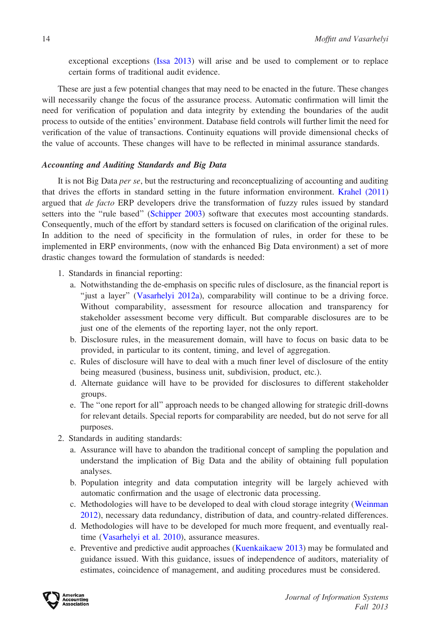exceptional exceptions [\(Issa 2013](#page-17-0)) will arise and be used to complement or to replace certain forms of traditional audit evidence.

These are just a few potential changes that may need to be enacted in the future. These changes will necessarily change the focus of the assurance process. Automatic confirmation will limit the need for verification of population and data integrity by extending the boundaries of the audit process to outside of the entities' environment. Database field controls will further limit the need for verification of the value of transactions. Continuity equations will provide dimensional checks of the value of accounts. These changes will have to be reflected in minimal assurance standards.

# Accounting and Auditing Standards and Big Data

It is not Big Data *per se*, but the restructuring and reconceptualizing of accounting and auditing that drives the efforts in standard setting in the future information environment. [Krahel \(2011](#page-17-0)) argued that *de facto* ERP developers drive the transformation of fuzzy rules issued by standard setters into the "rule based" [\(Schipper 2003](#page-17-0)) software that executes most accounting standards. Consequently, much of the effort by standard setters is focused on clarification of the original rules. In addition to the need of specificity in the formulation of rules, in order for these to be implemented in ERP environments, (now with the enhanced Big Data environment) a set of more drastic changes toward the formulation of standards is needed:

- 1. Standards in financial reporting:
	- a. Notwithstanding the de-emphasis on specific rules of disclosure, as the financial report is "just a layer" [\(Vasarhelyi 2012a\)](#page-17-0), comparability will continue to be a driving force. Without comparability, assessment for resource allocation and transparency for stakeholder assessment become very difficult. But comparable disclosures are to be just one of the elements of the reporting layer, not the only report.
	- b. Disclosure rules, in the measurement domain, will have to focus on basic data to be provided, in particular to its content, timing, and level of aggregation.
	- c. Rules of disclosure will have to deal with a much finer level of disclosure of the entity being measured (business, business unit, subdivision, product, etc.).
	- d. Alternate guidance will have to be provided for disclosures to different stakeholder groups.
	- e. The ''one report for all'' approach needs to be changed allowing for strategic drill-downs for relevant details. Special reports for comparability are needed, but do not serve for all purposes.
- 2. Standards in auditing standards:
	- a. Assurance will have to abandon the traditional concept of sampling the population and understand the implication of Big Data and the ability of obtaining full population analyses.
	- b. Population integrity and data computation integrity will be largely achieved with automatic confirmation and the usage of electronic data processing.
	- c. Methodologies will have to be developed to deal with cloud storage integrity [\(Weinman](#page-18-0) [2012\)](#page-18-0), necessary data redundancy, distribution of data, and country-related differences.
	- d. Methodologies will have to be developed for much more frequent, and eventually realtime [\(Vasarhelyi et al. 2010\)](#page-17-0), assurance measures.
	- e. Preventive and predictive audit approaches ([Kuenkaikaew 2013\)](#page-17-0) may be formulated and guidance issued. With this guidance, issues of independence of auditors, materiality of estimates, coincidence of management, and auditing procedures must be considered.



Fall 2013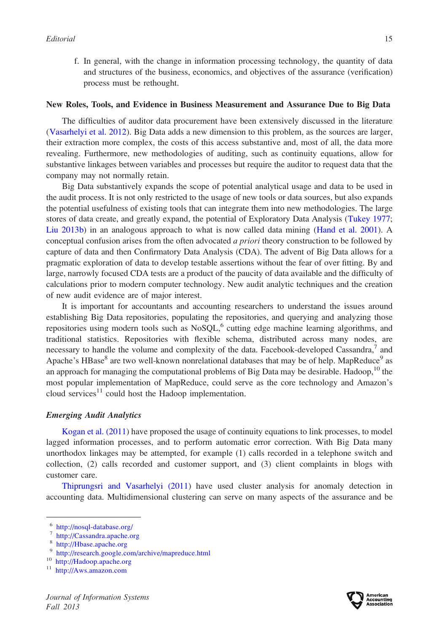f. In general, with the change in information processing technology, the quantity of data and structures of the business, economics, and objectives of the assurance (verification) process must be rethought.

#### New Roles, Tools, and Evidence in Business Measurement and Assurance Due to Big Data

The difficulties of auditor data procurement have been extensively discussed in the literature ([Vasarhelyi et al. 2012](#page-18-0)). Big Data adds a new dimension to this problem, as the sources are larger, their extraction more complex, the costs of this access substantive and, most of all, the data more revealing. Furthermore, new methodologies of auditing, such as continuity equations, allow for substantive linkages between variables and processes but require the auditor to request data that the company may not normally retain.

Big Data substantively expands the scope of potential analytical usage and data to be used in the audit process. It is not only restricted to the usage of new tools or data sources, but also expands the potential usefulness of existing tools that can integrate them into new methodologies. The large stores of data create, and greatly expand, the potential of Exploratory Data Analysis ([Tukey 1977](#page-17-0); [Liu 2013b](#page-17-0)) in an analogous approach to what is now called data mining [\(Hand et al. 2001](#page-17-0)). A conceptual confusion arises from the often advocated *a priori* theory construction to be followed by capture of data and then Confirmatory Data Analysis (CDA). The advent of Big Data allows for a pragmatic exploration of data to develop testable assertions without the fear of over fitting. By and large, narrowly focused CDA tests are a product of the paucity of data available and the difficulty of calculations prior to modern computer technology. New audit analytic techniques and the creation of new audit evidence are of major interest.

It is important for accountants and accounting researchers to understand the issues around establishing Big Data repositories, populating the repositories, and querying and analyzing those repositories using modern tools such as  $N_0SQL$ , cutting edge machine learning algorithms, and traditional statistics. Repositories with flexible schema, distributed across many nodes, are necessary to handle the volume and complexity of the data. Facebook-developed Cassandra,<sup>7</sup> and Apache's HBase<sup>8</sup> are two well-known nonrelational databases that may be of help. MapReduce<sup>9</sup> as an approach for managing the computational problems of Big Data may be desirable. Hadoop,<sup>10</sup> the most popular implementation of MapReduce, could serve as the core technology and Amazon's cloud services $11$  could host the Hadoop implementation.

#### Emerging Audit Analytics

[Kogan et al. \(2011\)](#page-17-0) have proposed the usage of continuity equations to link processes, to model lagged information processes, and to perform automatic error correction. With Big Data many unorthodox linkages may be attempted, for example (1) calls recorded in a telephone switch and collection, (2) calls recorded and customer support, and (3) client complaints in blogs with customer care.

[Thiprungsri and Vasarhelyi \(2011](#page-17-0)) have used cluster analysis for anomaly detection in accounting data. Multidimensional clustering can serve on many aspects of the assurance and be



<sup>6</sup> <http://nosql-database.org/><br>
7 <http://Cassandra.apache.org><br>
8 <http://Hbase.apache.org><br>
9 <http://research.google.com/archive/mapreduce.html><br>
10 <http://Hadoop.apache.org><br>
11 <http://Aws.amazon.com>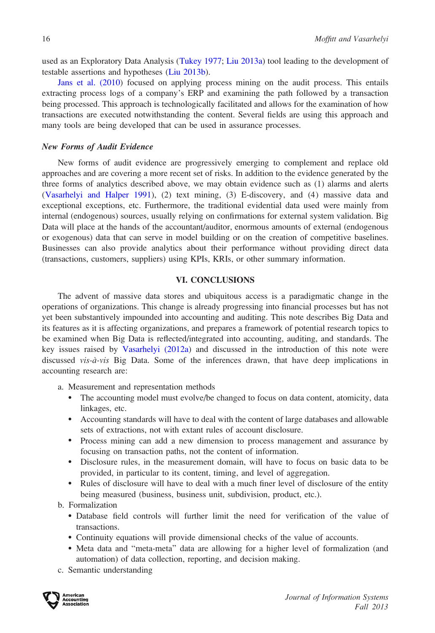used as an Exploratory Data Analysis ([Tukey 1977](#page-17-0); [Liu 2013a\)](#page-17-0) tool leading to the development of testable assertions and hypotheses ([Liu 2013b\)](#page-17-0).

[Jans et al. \(2010\)](#page-17-0) focused on applying process mining on the audit process. This entails extracting process logs of a company's ERP and examining the path followed by a transaction being processed. This approach is technologically facilitated and allows for the examination of how transactions are executed notwithstanding the content. Several fields are using this approach and many tools are being developed that can be used in assurance processes.

#### New Forms of Audit Evidence

New forms of audit evidence are progressively emerging to complement and replace old approaches and are covering a more recent set of risks. In addition to the evidence generated by the three forms of analytics described above, we may obtain evidence such as (1) alarms and alerts [\(Vasarhelyi and Halper 1991](#page-18-0)), (2) text mining, (3) E-discovery, and (4) massive data and exceptional exceptions, etc. Furthermore, the traditional evidential data used were mainly from internal (endogenous) sources, usually relying on confirmations for external system validation. Big Data will place at the hands of the accountant/auditor, enormous amounts of external (endogenous or exogenous) data that can serve in model building or on the creation of competitive baselines. Businesses can also provide analytics about their performance without providing direct data (transactions, customers, suppliers) using KPIs, KRIs, or other summary information.

#### VI. CONCLUSIONS

The advent of massive data stores and ubiquitous access is a paradigmatic change in the operations of organizations. This change is already progressing into financial processes but has not yet been substantively impounded into accounting and auditing. This note describes Big Data and its features as it is affecting organizations, and prepares a framework of potential research topics to be examined when Big Data is reflected/integrated into accounting, auditing, and standards. The key issues raised by [Vasarhelyi \(2012a\)](#page-17-0) and discussed in the introduction of this note were discussed vis- $\dot{a}$ -vis Big Data. Some of the inferences drawn, that have deep implications in accounting research are:

- a. Measurement and representation methods
	- The accounting model must evolve/be changed to focus on data content, atomicity, data linkages, etc.
	- Accounting standards will have to deal with the content of large databases and allowable sets of extractions, not with extant rules of account disclosure.
	- $\bullet$  Process mining can add a new dimension to process management and assurance by focusing on transaction paths, not the content of information.
	- $\bullet$  Disclosure rules, in the measurement domain, will have to focus on basic data to be provided, in particular to its content, timing, and level of aggregation.
	- Rules of disclosure will have to deal with a much finer level of disclosure of the entity being measured (business, business unit, subdivision, product, etc.).
- b. Formalization
	- Database field controls will further limit the need for verification of the value of transactions.
	- Continuity equations will provide dimensional checks of the value of accounts.
	- Meta data and ''meta-meta'' data are allowing for a higher level of formalization (and automation) of data collection, reporting, and decision making.
- c. Semantic understanding

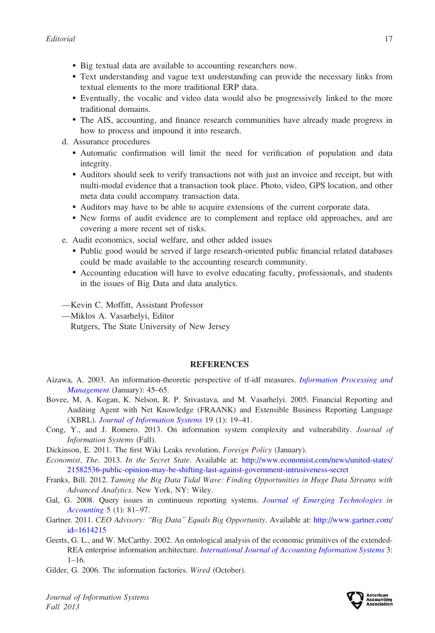- <span id="page-16-0"></span>- Big textual data are available to accounting researchers now.
- Text understanding and vague text understanding can provide the necessary links from textual elements to the more traditional ERP data.
- Eventually, the vocalic and video data would also be progressively linked to the more traditional domains.
- The AIS, accounting, and finance research communities have already made progress in how to process and impound it into research.
- d. Assurance procedures
	- Automatic confirmation will limit the need for verification of population and data integrity.
	- Auditors should seek to verify transactions not with just an invoice and receipt, but with multi-modal evidence that a transaction took place. Photo, video, GPS location, and other meta data could accompany transaction data.
	- Auditors may have to be able to acquire extensions of the current corporate data.
	- New forms of audit evidence are to complement and replace old approaches, and are covering a more recent set of risks.
- e. Audit economics, social welfare, and other added issues
	- Public good would be served if large research-oriented public financial related databases could be made available to the accounting research community.
	- Accounting education will have to evolve educating faculty, professionals, and students in the issues of Big Data and data analytics.
- —Kevin C. Moffitt, Assistant Professor
- —Miklos A. Vasarhelyi, Editor
	- Rutgers, The State University of New Jersey

# **REFERENCES**

- Aizawa, A. 2003. An information-theoretic perspective of tf-idf measures. *[Information Processing and](dx.doi.org/10.1016/S0306-4573(02)00021-3)* [Management](dx.doi.org/10.1016/S0306-4573(02)00021-3) (January): 45–65.
- Bovee, M, A. Kogan, K. Nelson, R. P. Srivastava, and M. Vasarhelyi. 2005. Financial Reporting and Auditing Agent with Net Knowledge (FRAANK) and Extensible Business Reporting Language (XBRL). [Journal of Information Systems](dx.doi.org/10.2308/jis.2005.19.1.19) 19 (1): 19–41.
- Cong, Y., and J. Romero. 2013. On information system complexity and vulnerability. Journal of Information Systems (Fall).
- Dickinson, E. 2011. The first Wiki Leaks revolution. Foreign Policy (January).
- Economist, The. 2013. In the Secret State. Available at: [http://www.economist.com/news/united-states/](http://www.economist.com/news/united-states/21582536-public-opinion-may-be-shifting-last-against-government-intrusiveness-secret) [21582536-public-opinion-may-be-shifting-last-against-government-intrusiveness-secret](http://www.economist.com/news/united-states/21582536-public-opinion-may-be-shifting-last-against-government-intrusiveness-secret)
- Franks, Bill. 2012. Taming the Big Data Tidal Wave: Finding Opportunities in Huge Data Streams with Advanced Analytics. New York, NY: Wiley.
- Gal, G. 2008. Query issues in continuous reporting systems. [Journal of Emerging Technologies in](dx.doi.org/10.2308/jeta.2008.5.1.81) [Accounting](dx.doi.org/10.2308/jeta.2008.5.1.81) 5 (1): 81–97.
- Gartner. 2011. CEO Advisory: "Big Data" Equals Big Opportunity. Available at: [http://www.gartner.com/](http://www.gartner.com/id=1614215)  $id=1614215$  $id=1614215$  $id=1614215$
- Geerts, G. L., and W. McCarthy. 2002. An ontological analysis of the economic primitives of the extended-REA enterprise information architecture. *[International Journal of Accounting Information Systems](dx.doi.org/10.1016/S1467-0895(01)00020-3)* 3:  $1-16.$
- Gilder, G. 2006. The information factories. Wired (October).

Journal of Information Systems Fall 2013

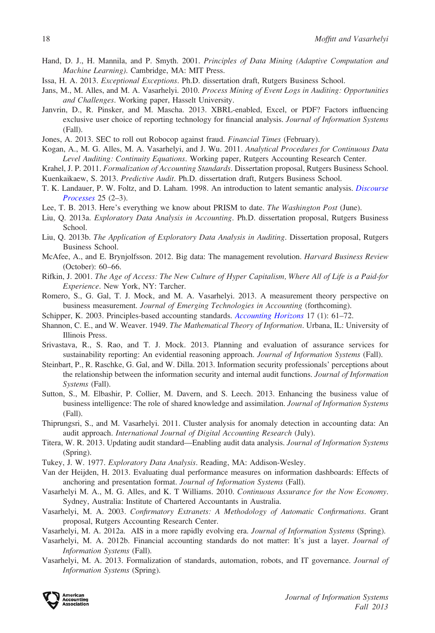- <span id="page-17-0"></span>Hand, D. J., H. Mannila, and P. Smyth. 2001. Principles of Data Mining (Adaptive Computation and Machine Learning). Cambridge, MA: MIT Press.
- Issa, H. A. 2013. Exceptional Exceptions. Ph.D. dissertation draft, Rutgers Business School.
- Jans, M., M. Alles, and M. A. Vasarhelyi. 2010. Process Mining of Event Logs in Auditing: Opportunities and Challenges. Working paper, Hasselt University.
- Janvrin, D., R. Pinsker, and M. Mascha. 2013. XBRL-enabled, Excel, or PDF? Factors influencing exclusive user choice of reporting technology for financial analysis. Journal of Information Systems (Fall).
- Jones, A. 2013. SEC to roll out Robocop against fraud. *Financial Times* (February).
- Kogan, A., M. G. Alles, M. A. Vasarhelyi, and J. Wu. 2011. Analytical Procedures for Continuous Data Level Auditing: Continuity Equations. Working paper, Rutgers Accounting Research Center.
- Krahel, J. P. 2011. Formalization of Accounting Standards. Dissertation proposal, Rutgers Business School. Kuenkaikaew, S. 2013. Predictive Audit. Ph.D. dissertation draft, Rutgers Business School.
- T. K. Landauer, P. W. Foltz, and D. Laham. 1998. An introduction to latent semantic analysis. [Discourse](dx.doi.org/10.1080/01638539809545028) [Processes](dx.doi.org/10.1080/01638539809545028) 25 (2–3).
- Lee, T. B. 2013. Here's everything we know about PRISM to date. The Washington Post (June).
- Liu, Q. 2013a. Exploratory Data Analysis in Accounting. Ph.D. dissertation proposal, Rutgers Business School.
- Liu, Q. 2013b. The Application of Exploratory Data Analysis in Auditing. Dissertation proposal, Rutgers Business School.
- McAfee, A., and E. Brynjolfsson. 2012. Big data: The management revolution. *Harvard Business Review* (October): 60–66.
- Rifkin, J. 2001. The Age of Access: The New Culture of Hyper Capitalism, Where All of Life is a Paid-for Experience. New York, NY: Tarcher.
- Romero, S., G. Gal, T. J. Mock, and M. A. Vasarhelyi. 2013. A measurement theory perspective on business measurement. Journal of Emerging Technologies in Accounting (forthcoming).
- Schipper, K. 2003. Principles-based accounting standards. [Accounting Horizons](dx.doi.org/10.2308/acch.2003.17.1.61) 17 (1): 61–72.
- Shannon, C. E., and W. Weaver. 1949. The Mathematical Theory of Information. Urbana, IL: University of Illinois Press.
- Srivastava, R., S. Rao, and T. J. Mock. 2013. Planning and evaluation of assurance services for sustainability reporting: An evidential reasoning approach. Journal of Information Systems (Fall).
- Steinbart, P., R. Raschke, G. Gal, and W. Dilla. 2013. Information security professionals' perceptions about the relationship between the information security and internal audit functions. Journal of Information Systems (Fall).
- Sutton, S., M. Elbashir, P. Collier, M. Davern, and S. Leech. 2013. Enhancing the business value of business intelligence: The role of shared knowledge and assimilation. Journal of Information Systems (Fall).
- Thiprungsri, S., and M. Vasarhelyi. 2011. Cluster analysis for anomaly detection in accounting data: An audit approach. International Journal of Digital Accounting Research (July).
- Titera, W. R. 2013. Updating audit standard—Enabling audit data analysis. Journal of Information Systems (Spring).
- Tukey, J. W. 1977. Exploratory Data Analysis. Reading, MA: Addison-Wesley.
- Van der Heijden, H. 2013. Evaluating dual performance measures on information dashboards: Effects of anchoring and presentation format. Journal of Information Systems (Fall).
- Vasarhelyi M. A., M. G. Alles, and K. T Williams. 2010. Continuous Assurance for the Now Economy. Sydney, Australia: Institute of Chartered Accountants in Australia.
- Vasarhelyi, M. A. 2003. Confirmatory Extranets: A Methodology of Automatic Confirmations. Grant proposal, Rutgers Accounting Research Center.
- Vasarhelyi, M. A. 2012a. AIS in a more rapidly evolving era. Journal of Information Systems (Spring).
- Vasarhelyi, M. A. 2012b. Financial accounting standards do not matter: It's just a layer. Journal of Information Systems (Fall).
- Vasarhelyi, M. A. 2013. Formalization of standards, automation, robots, and IT governance. Journal of Information Systems (Spring).